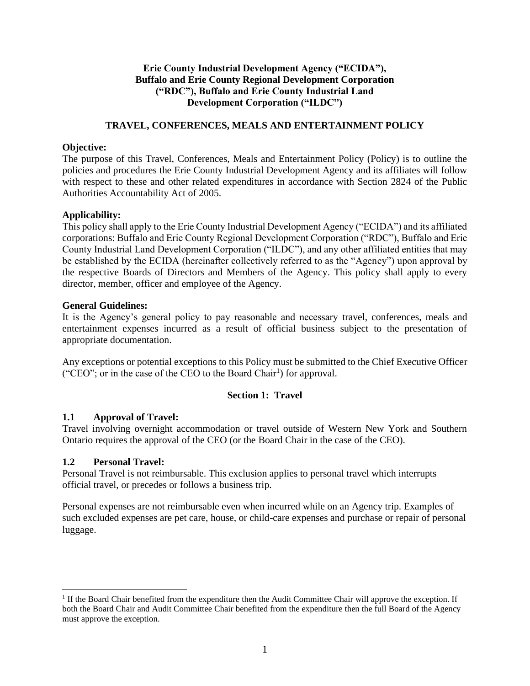# **Erie County Industrial Development Agency ("ECIDA"), Buffalo and Erie County Regional Development Corporation ("RDC"), Buffalo and Erie County Industrial Land Development Corporation ("ILDC")**

### **TRAVEL, CONFERENCES, MEALS AND ENTERTAINMENT POLICY**

#### **Objective:**

The purpose of this Travel, Conferences, Meals and Entertainment Policy (Policy) is to outline the policies and procedures the Erie County Industrial Development Agency and its affiliates will follow with respect to these and other related expenditures in accordance with Section 2824 of the Public Authorities Accountability Act of 2005.

### **Applicability:**

This policy shall apply to the Erie County Industrial Development Agency ("ECIDA") and its affiliated corporations: Buffalo and Erie County Regional Development Corporation ("RDC"), Buffalo and Erie County Industrial Land Development Corporation ("ILDC"), and any other affiliated entities that may be established by the ECIDA (hereinafter collectively referred to as the "Agency") upon approval by the respective Boards of Directors and Members of the Agency. This policy shall apply to every director, member, officer and employee of the Agency.

### **General Guidelines:**

It is the Agency's general policy to pay reasonable and necessary travel, conferences, meals and entertainment expenses incurred as a result of official business subject to the presentation of appropriate documentation.

Any exceptions or potential exceptions to this Policy must be submitted to the Chief Executive Officer ("CEO"; or in the case of the CEO to the Board Chair<sup>1</sup>) for approval.

## **Section 1: Travel**

## **1.1 Approval of Travel:**

Travel involving overnight accommodation or travel outside of Western New York and Southern Ontario requires the approval of the CEO (or the Board Chair in the case of the CEO).

## **1.2 Personal Travel:**

Personal Travel is not reimbursable. This exclusion applies to personal travel which interrupts official travel, or precedes or follows a business trip.

Personal expenses are not reimbursable even when incurred while on an Agency trip. Examples of such excluded expenses are pet care, house, or child-care expenses and purchase or repair of personal luggage.

<sup>&</sup>lt;sup>1</sup> If the Board Chair benefited from the expenditure then the Audit Committee Chair will approve the exception. If both the Board Chair and Audit Committee Chair benefited from the expenditure then the full Board of the Agency must approve the exception.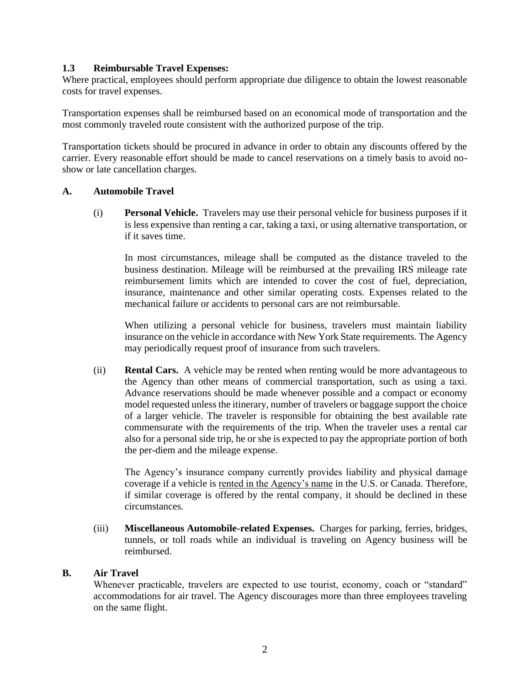### **1.3 Reimbursable Travel Expenses:**

Where practical, employees should perform appropriate due diligence to obtain the lowest reasonable costs for travel expenses.

Transportation expenses shall be reimbursed based on an economical mode of transportation and the most commonly traveled route consistent with the authorized purpose of the trip.

Transportation tickets should be procured in advance in order to obtain any discounts offered by the carrier. Every reasonable effort should be made to cancel reservations on a timely basis to avoid noshow or late cancellation charges.

#### **A. Automobile Travel**

(i) **Personal Vehicle.** Travelers may use their personal vehicle for business purposes if it is less expensive than renting a car, taking a taxi, or using alternative transportation, or if it saves time.

In most circumstances, mileage shall be computed as the distance traveled to the business destination. Mileage will be reimbursed at the prevailing IRS mileage rate reimbursement limits which are intended to cover the cost of fuel, depreciation, insurance, maintenance and other similar operating costs. Expenses related to the mechanical failure or accidents to personal cars are not reimbursable.

When utilizing a personal vehicle for business, travelers must maintain liability insurance on the vehicle in accordance with New York State requirements. The Agency may periodically request proof of insurance from such travelers.

(ii) **Rental Cars.** A vehicle may be rented when renting would be more advantageous to the Agency than other means of commercial transportation, such as using a taxi. Advance reservations should be made whenever possible and a compact or economy model requested unless the itinerary, number of travelers or baggage support the choice of a larger vehicle. The traveler is responsible for obtaining the best available rate commensurate with the requirements of the trip. When the traveler uses a rental car also for a personal side trip, he or she is expected to pay the appropriate portion of both the per-diem and the mileage expense.

The Agency's insurance company currently provides liability and physical damage coverage if a vehicle is rented in the Agency's name in the U.S. or Canada. Therefore, if similar coverage is offered by the rental company, it should be declined in these circumstances.

(iii) **Miscellaneous Automobile-related Expenses.** Charges for parking, ferries, bridges, tunnels, or toll roads while an individual is traveling on Agency business will be reimbursed.

#### **B. Air Travel**

Whenever practicable, travelers are expected to use tourist, economy, coach or "standard" accommodations for air travel. The Agency discourages more than three employees traveling on the same flight.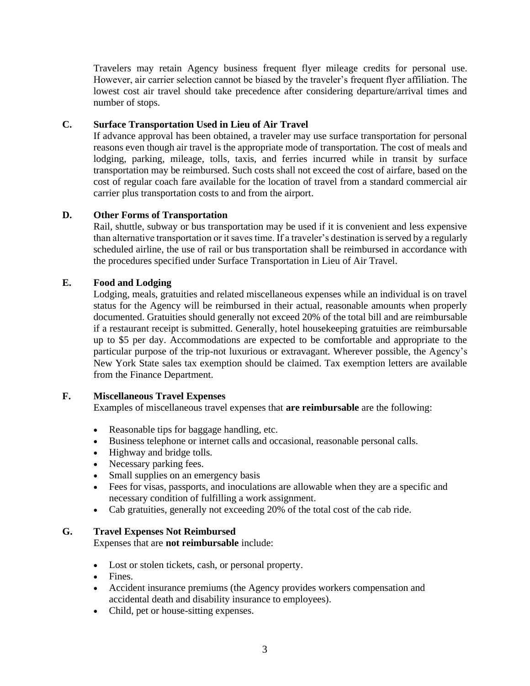Travelers may retain Agency business frequent flyer mileage credits for personal use. However, air carrier selection cannot be biased by the traveler's frequent flyer affiliation. The lowest cost air travel should take precedence after considering departure/arrival times and number of stops.

# **C. Surface Transportation Used in Lieu of Air Travel**

If advance approval has been obtained, a traveler may use surface transportation for personal reasons even though air travel is the appropriate mode of transportation. The cost of meals and lodging, parking, mileage, tolls, taxis, and ferries incurred while in transit by surface transportation may be reimbursed. Such costs shall not exceed the cost of airfare, based on the cost of regular coach fare available for the location of travel from a standard commercial air carrier plus transportation costs to and from the airport.

# **D. Other Forms of Transportation**

Rail, shuttle, subway or bus transportation may be used if it is convenient and less expensive than alternative transportation or it saves time. If a traveler's destination is served by a regularly scheduled airline, the use of rail or bus transportation shall be reimbursed in accordance with the procedures specified under Surface Transportation in Lieu of Air Travel.

# **E. Food and Lodging**

Lodging, meals, gratuities and related miscellaneous expenses while an individual is on travel status for the Agency will be reimbursed in their actual, reasonable amounts when properly documented. Gratuities should generally not exceed 20% of the total bill and are reimbursable if a restaurant receipt is submitted. Generally, hotel housekeeping gratuities are reimbursable up to \$5 per day. Accommodations are expected to be comfortable and appropriate to the particular purpose of the trip-not luxurious or extravagant. Wherever possible, the Agency's New York State sales tax exemption should be claimed. Tax exemption letters are available from the Finance Department.

## **F. Miscellaneous Travel Expenses**

Examples of miscellaneous travel expenses that **are reimbursable** are the following:

- Reasonable tips for baggage handling, etc.
- Business telephone or internet calls and occasional, reasonable personal calls.
- Highway and bridge tolls.
- Necessary parking fees.
- Small supplies on an emergency basis
- Fees for visas, passports, and inoculations are allowable when they are a specific and necessary condition of fulfilling a work assignment.
- Cab gratuities, generally not exceeding 20% of the total cost of the cab ride.

## **G. Travel Expenses Not Reimbursed**

Expenses that are **not reimbursable** include:

- Lost or stolen tickets, cash, or personal property.
- Fines.
- Accident insurance premiums (the Agency provides workers compensation and accidental death and disability insurance to employees).
- Child, pet or house-sitting expenses.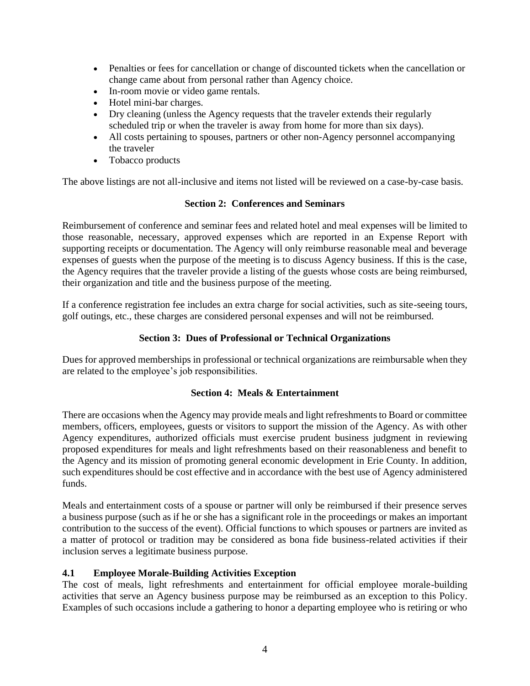- Penalties or fees for cancellation or change of discounted tickets when the cancellation or change came about from personal rather than Agency choice.
- In-room movie or video game rentals.
- Hotel mini-bar charges.
- Dry cleaning (unless the Agency requests that the traveler extends their regularly scheduled trip or when the traveler is away from home for more than six days).
- All costs pertaining to spouses, partners or other non-Agency personnel accompanying the traveler
- Tobacco products

The above listings are not all-inclusive and items not listed will be reviewed on a case-by-case basis.

#### **Section 2: Conferences and Seminars**

Reimbursement of conference and seminar fees and related hotel and meal expenses will be limited to those reasonable, necessary, approved expenses which are reported in an Expense Report with supporting receipts or documentation. The Agency will only reimburse reasonable meal and beverage expenses of guests when the purpose of the meeting is to discuss Agency business. If this is the case, the Agency requires that the traveler provide a listing of the guests whose costs are being reimbursed, their organization and title and the business purpose of the meeting.

If a conference registration fee includes an extra charge for social activities, such as site-seeing tours, golf outings, etc., these charges are considered personal expenses and will not be reimbursed.

### **Section 3: Dues of Professional or Technical Organizations**

Dues for approved memberships in professional or technical organizations are reimbursable when they are related to the employee's job responsibilities.

#### **Section 4: Meals & Entertainment**

There are occasions when the Agency may provide meals and light refreshments to Board or committee members, officers, employees, guests or visitors to support the mission of the Agency. As with other Agency expenditures, authorized officials must exercise prudent business judgment in reviewing proposed expenditures for meals and light refreshments based on their reasonableness and benefit to the Agency and its mission of promoting general economic development in Erie County. In addition, such expenditures should be cost effective and in accordance with the best use of Agency administered funds.

Meals and entertainment costs of a spouse or partner will only be reimbursed if their presence serves a business purpose (such as if he or she has a significant role in the proceedings or makes an important contribution to the success of the event). Official functions to which spouses or partners are invited as a matter of protocol or tradition may be considered as bona fide business-related activities if their inclusion serves a legitimate business purpose.

#### **4.1 Employee Morale-Building Activities Exception**

The cost of meals, light refreshments and entertainment for official employee morale-building activities that serve an Agency business purpose may be reimbursed as an exception to this Policy. Examples of such occasions include a gathering to honor a departing employee who is retiring or who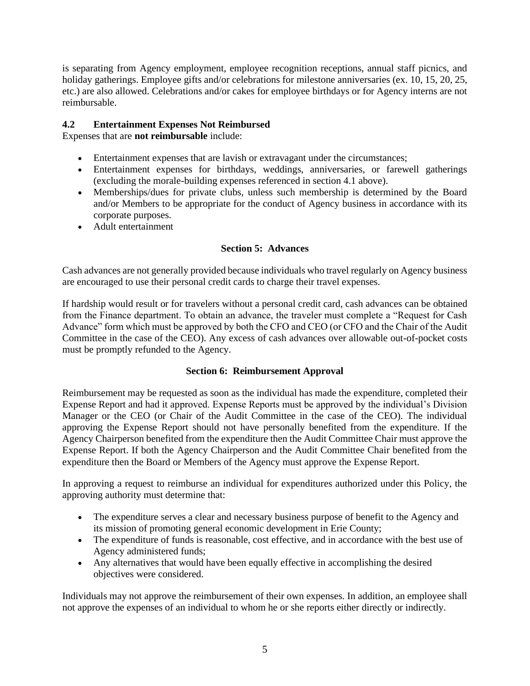is separating from Agency employment, employee recognition receptions, annual staff picnics, and holiday gatherings. Employee gifts and/or celebrations for milestone anniversaries (ex. 10, 15, 20, 25, etc.) are also allowed. Celebrations and/or cakes for employee birthdays or for Agency interns are not reimbursable.

# **4.2 Entertainment Expenses Not Reimbursed**

Expenses that are **not reimbursable** include:

- Entertainment expenses that are lavish or extravagant under the circumstances;
- Entertainment expenses for birthdays, weddings, anniversaries, or farewell gatherings (excluding the morale-building expenses referenced in section 4.1 above).
- Memberships/dues for private clubs, unless such membership is determined by the Board and/or Members to be appropriate for the conduct of Agency business in accordance with its corporate purposes.
- Adult entertainment

# **Section 5: Advances**

Cash advances are not generally provided because individuals who travel regularly on Agency business are encouraged to use their personal credit cards to charge their travel expenses.

If hardship would result or for travelers without a personal credit card, cash advances can be obtained from the Finance department. To obtain an advance, the traveler must complete a "Request for Cash Advance" form which must be approved by both the CFO and CEO (or CFO and the Chair of the Audit Committee in the case of the CEO). Any excess of cash advances over allowable out-of-pocket costs must be promptly refunded to the Agency.

## **Section 6: Reimbursement Approval**

Reimbursement may be requested as soon as the individual has made the expenditure, completed their Expense Report and had it approved. Expense Reports must be approved by the individual's Division Manager or the CEO (or Chair of the Audit Committee in the case of the CEO). The individual approving the Expense Report should not have personally benefited from the expenditure. If the Agency Chairperson benefited from the expenditure then the Audit Committee Chair must approve the Expense Report. If both the Agency Chairperson and the Audit Committee Chair benefited from the expenditure then the Board or Members of the Agency must approve the Expense Report.

In approving a request to reimburse an individual for expenditures authorized under this Policy, the approving authority must determine that:

- The expenditure serves a clear and necessary business purpose of benefit to the Agency and its mission of promoting general economic development in Erie County;
- The expenditure of funds is reasonable, cost effective, and in accordance with the best use of Agency administered funds;
- Any alternatives that would have been equally effective in accomplishing the desired objectives were considered.

Individuals may not approve the reimbursement of their own expenses. In addition, an employee shall not approve the expenses of an individual to whom he or she reports either directly or indirectly.